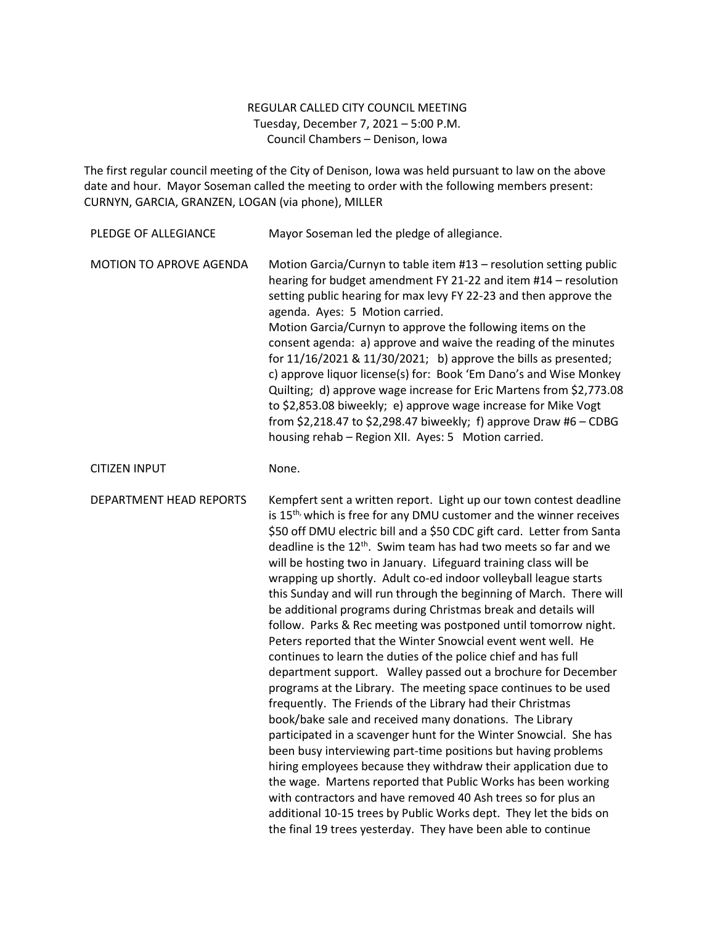## REGULAR CALLED CITY COUNCIL MEETING Tuesday, December 7, 2021 – 5:00 P.M. Council Chambers – Denison, Iowa

The first regular council meeting of the City of Denison, Iowa was held pursuant to law on the above date and hour. Mayor Soseman called the meeting to order with the following members present: CURNYN, GARCIA, GRANZEN, LOGAN (via phone), MILLER

| PLEDGE OF ALLEGIANCE    | Mayor Soseman led the pledge of allegiance.                                                                                                                                                                                                                                                                                                                                                                                                                                                                                                                                                                                                                                                                                                                                                                                                                                                                                                                                                                                                                                                                                                                                                                                                                                                                                                                                                                                                                                                                                                          |
|-------------------------|------------------------------------------------------------------------------------------------------------------------------------------------------------------------------------------------------------------------------------------------------------------------------------------------------------------------------------------------------------------------------------------------------------------------------------------------------------------------------------------------------------------------------------------------------------------------------------------------------------------------------------------------------------------------------------------------------------------------------------------------------------------------------------------------------------------------------------------------------------------------------------------------------------------------------------------------------------------------------------------------------------------------------------------------------------------------------------------------------------------------------------------------------------------------------------------------------------------------------------------------------------------------------------------------------------------------------------------------------------------------------------------------------------------------------------------------------------------------------------------------------------------------------------------------------|
| MOTION TO APROVE AGENDA | Motion Garcia/Curnyn to table item #13 - resolution setting public<br>hearing for budget amendment FY 21-22 and item #14 - resolution<br>setting public hearing for max levy FY 22-23 and then approve the<br>agenda. Ayes: 5 Motion carried.<br>Motion Garcia/Curnyn to approve the following items on the<br>consent agenda: a) approve and waive the reading of the minutes<br>for $11/16/2021$ & $11/30/2021$ ; b) approve the bills as presented;<br>c) approve liquor license(s) for: Book 'Em Dano's and Wise Monkey<br>Quilting; d) approve wage increase for Eric Martens from \$2,773.08<br>to \$2,853.08 biweekly; e) approve wage increase for Mike Vogt<br>from \$2,218.47 to \$2,298.47 biweekly; f) approve Draw #6 - CDBG<br>housing rehab - Region XII. Ayes: 5 Motion carried.                                                                                                                                                                                                                                                                                                                                                                                                                                                                                                                                                                                                                                                                                                                                                     |
| <b>CITIZEN INPUT</b>    | None.                                                                                                                                                                                                                                                                                                                                                                                                                                                                                                                                                                                                                                                                                                                                                                                                                                                                                                                                                                                                                                                                                                                                                                                                                                                                                                                                                                                                                                                                                                                                                |
| DEPARTMENT HEAD REPORTS | Kempfert sent a written report. Light up our town contest deadline<br>is 15 <sup>th,</sup> which is free for any DMU customer and the winner receives<br>\$50 off DMU electric bill and a \$50 CDC gift card. Letter from Santa<br>deadline is the 12 <sup>th</sup> . Swim team has had two meets so far and we<br>will be hosting two in January. Lifeguard training class will be<br>wrapping up shortly. Adult co-ed indoor volleyball league starts<br>this Sunday and will run through the beginning of March. There will<br>be additional programs during Christmas break and details will<br>follow. Parks & Rec meeting was postponed until tomorrow night.<br>Peters reported that the Winter Snowcial event went well. He<br>continues to learn the duties of the police chief and has full<br>department support. Walley passed out a brochure for December<br>programs at the Library. The meeting space continues to be used<br>frequently. The Friends of the Library had their Christmas<br>book/bake sale and received many donations. The Library<br>participated in a scavenger hunt for the Winter Snowcial. She has<br>been busy interviewing part-time positions but having problems<br>hiring employees because they withdraw their application due to<br>the wage. Martens reported that Public Works has been working<br>with contractors and have removed 40 Ash trees so for plus an<br>additional 10-15 trees by Public Works dept. They let the bids on<br>the final 19 trees yesterday. They have been able to continue |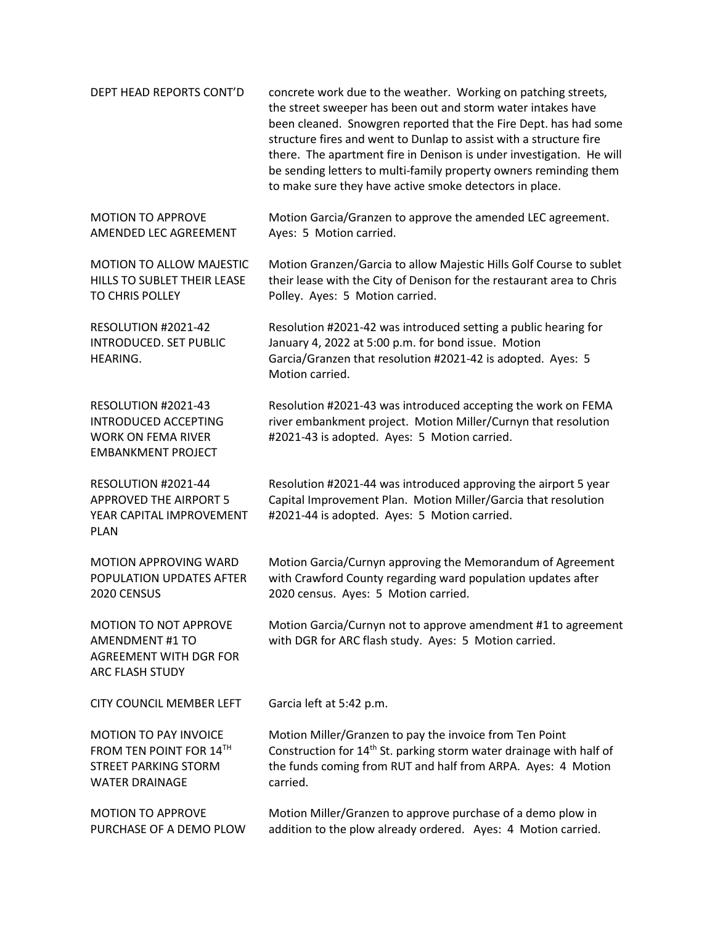| DEPT HEAD REPORTS CONT'D                                                                                        | concrete work due to the weather. Working on patching streets,<br>the street sweeper has been out and storm water intakes have<br>been cleaned. Snowgren reported that the Fire Dept. has had some<br>structure fires and went to Dunlap to assist with a structure fire<br>there. The apartment fire in Denison is under investigation. He will<br>be sending letters to multi-family property owners reminding them<br>to make sure they have active smoke detectors in place. |
|-----------------------------------------------------------------------------------------------------------------|----------------------------------------------------------------------------------------------------------------------------------------------------------------------------------------------------------------------------------------------------------------------------------------------------------------------------------------------------------------------------------------------------------------------------------------------------------------------------------|
| <b>MOTION TO APPROVE</b><br>AMENDED LEC AGREEMENT                                                               | Motion Garcia/Granzen to approve the amended LEC agreement.<br>Ayes: 5 Motion carried.                                                                                                                                                                                                                                                                                                                                                                                           |
| MOTION TO ALLOW MAJESTIC<br>HILLS TO SUBLET THEIR LEASE<br>TO CHRIS POLLEY                                      | Motion Granzen/Garcia to allow Majestic Hills Golf Course to sublet<br>their lease with the City of Denison for the restaurant area to Chris<br>Polley. Ayes: 5 Motion carried.                                                                                                                                                                                                                                                                                                  |
| RESOLUTION #2021-42<br><b>INTRODUCED. SET PUBLIC</b><br>HEARING.                                                | Resolution #2021-42 was introduced setting a public hearing for<br>January 4, 2022 at 5:00 p.m. for bond issue. Motion<br>Garcia/Granzen that resolution #2021-42 is adopted. Ayes: 5<br>Motion carried.                                                                                                                                                                                                                                                                         |
| RESOLUTION #2021-43<br><b>INTRODUCED ACCEPTING</b><br><b>WORK ON FEMA RIVER</b><br><b>EMBANKMENT PROJECT</b>    | Resolution #2021-43 was introduced accepting the work on FEMA<br>river embankment project. Motion Miller/Curnyn that resolution<br>#2021-43 is adopted. Ayes: 5 Motion carried.                                                                                                                                                                                                                                                                                                  |
| RESOLUTION #2021-44<br><b>APPROVED THE AIRPORT 5</b><br>YEAR CAPITAL IMPROVEMENT<br><b>PLAN</b>                 | Resolution #2021-44 was introduced approving the airport 5 year<br>Capital Improvement Plan. Motion Miller/Garcia that resolution<br>#2021-44 is adopted. Ayes: 5 Motion carried.                                                                                                                                                                                                                                                                                                |
| MOTION APPROVING WARD<br>POPULATION UPDATES AFTER<br>2020 CENSUS                                                | Motion Garcia/Curnyn approving the Memorandum of Agreement<br>with Crawford County regarding ward population updates after<br>2020 census. Ayes: 5 Motion carried.                                                                                                                                                                                                                                                                                                               |
| <b>MOTION TO NOT APPROVE</b><br><b>AMENDMENT #1 TO</b><br><b>AGREEMENT WITH DGR FOR</b><br>ARC FLASH STUDY      | Motion Garcia/Curnyn not to approve amendment #1 to agreement<br>with DGR for ARC flash study. Ayes: 5 Motion carried.                                                                                                                                                                                                                                                                                                                                                           |
| <b>CITY COUNCIL MEMBER LEFT</b>                                                                                 | Garcia left at 5:42 p.m.                                                                                                                                                                                                                                                                                                                                                                                                                                                         |
| <b>MOTION TO PAY INVOICE</b><br>FROM TEN POINT FOR 14TH<br><b>STREET PARKING STORM</b><br><b>WATER DRAINAGE</b> | Motion Miller/Granzen to pay the invoice from Ten Point<br>Construction for 14 <sup>th</sup> St. parking storm water drainage with half of<br>the funds coming from RUT and half from ARPA. Ayes: 4 Motion<br>carried.                                                                                                                                                                                                                                                           |
| <b>MOTION TO APPROVE</b><br>PURCHASE OF A DEMO PLOW                                                             | Motion Miller/Granzen to approve purchase of a demo plow in<br>addition to the plow already ordered. Ayes: 4 Motion carried.                                                                                                                                                                                                                                                                                                                                                     |